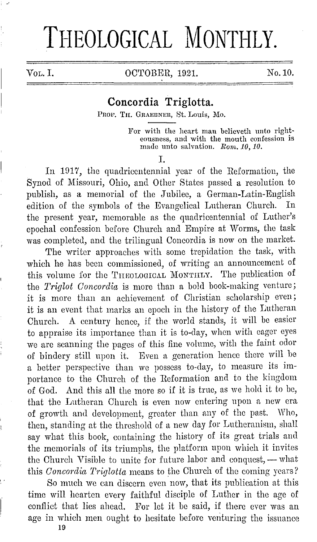## THEOLOGICAL MONTHLY.

Vol. I. 0CTOBER, 1921. No. 10.

## **Concordia Triglotta.**

PROF. TH. GRAEBNER, St. Louis, Mo.

For with the heart man believeth unto righteousness, and with the mouth confession is made unto salvation. *Roni. 10, 10.* 

I.

In 1917, the quadricentennial year of the Reformation, the Synod of Missouri, Ohio, and Other States passed a resolution to publish, as a memorial of the Jubilee, a German-Latin-English edition of the symbols of the Evangelical Lutheran Church. In the present year, memorable as the quadricentennial of Luther's epochal confession before Church and Empire at Worms, the task was completed, and the trilingual Concordia is now on the market.

The writer approaches with some trepidation the task, with which he has been commissioned, of writing an announcement of this volume for the THEOLOGICAL MONTHLY. The publication of the *Triglot Concordia* is more than a bold book-making venture; it is more than an achievement of Christian scholarship even; it is an event that marks an epoch in the history of the Lutheran Church. A century hence, if the world stands, it will be easier to appraise its importance than it is to-day, when with eager eyes we are scanning the pages of this fine volume, with the faint odor of bindery still npon it. Even a generation hence there will he a better perspective than we possess to-day, to measure its importance to the Church of the Reformation and to the kingdom of God. And this all the more so if it is true, as we hold it to be, that the Lutheran Church is even now entering upon a new era of growth and development, greater than any of the past. Who, then, standing at the threshold of a new day for Lutheranism, shall say what this book, containing the history of its great trials and the memorials of its triumphs, the platform upon which it invites the Church Visible to unite for future labor and conquest, - what this *Concordia Triglotla* means to the Church of the coming years?

So much we can discern even now, that its publication at this time will hearten every faithful disciple of Luther in the age of conflict that lies ahead. For let it be said, if there ever was an age in which men ought to hesitate before venturing the issuance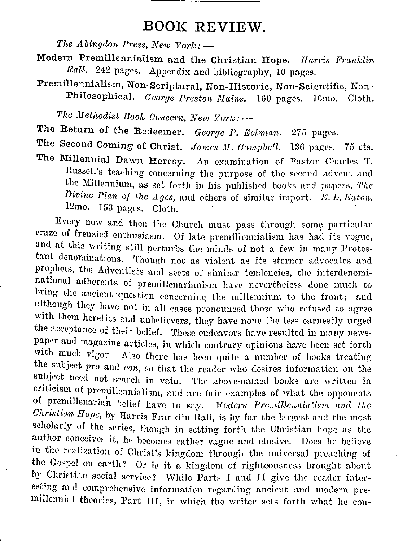## **BOOK REVIEW.**

*The Abingdon Press, New York:*  $-$ 

- Modern Premillennialism and the Christian Hope. *II arris Franklin* Rall. 242 pages. Appendix and bibliography, 10 pages.
- Premillennialism, Non-Scriptural, Non-Historic, Non-Scientific, Non-Philosophical. *George Preston Mains.* 160 pages. 16mo. Cloth.

*The Methodist Book Concern, New York:*  $-$ 

The Return of the Redeemer. *George P. Eckman.* 275 pages.

The Second Coming of Christ. *James M. Campbell.* 136 pages. 75 cts.

The Millennial Dawn Heresy. An examination of Pastor Charles T. Russell's teaching concerning the purpose of the second advent and the Millennium, as set forth in his published books and papers, The *Divine Plan of the Ages, and others of similar import. E. L. Eaton.* 12mo. 153 pages. Cloth.

Every now and then the Church must pass through some particular craze of frenzied enthusiasm. Of late premillennialism has had its vogue, and at this writing still perturbs the minds of not a few in many Protestant denominations. Though not as violent as its sterner advocates and prophets, the Adventists and sects of similar tendencies, the interdenominational adherents of premillenarianism have nevertheless done much to bring the ancient question concerning the millennium to the front; and although they have not in all cases pronounced those who refused to agree with them heretics and unbelievers, they have none the less earnestly urged the acceptance of their belief. These endeavors have resulted in many newspaper and magazine articles, in which contrary opinions have been set forth with much vigor. Also there has been quite a number of books treating the subject *pro* and *con,* so that the reader who desires information on the subject need not search in vain. The above-named books are written in criticism of premillcnnialism, and are fair examples of what the opponents of premillenarian belief have to say. *Modern Premillennialism and the Ohristian Hope,* by Harris Franklin Hall, is by far the largest and the most scholarly of the series, though in setting forth the Christian hope as the author conceives it, he becomes rather vague and elusive. Docs he believe in the realization of Christ's kingdom through the universal preaching of the Gospel on earth? Or is it a kingdom of righteousness brought about by Christian social service? \Vhile Parts I and II give the reader interesting and comprehensive information regarding ancient and modern premillennial theories, Part III, in which the writer sets forth what he con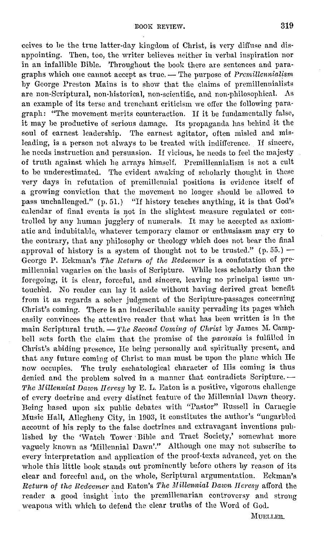ccivcs to he the true latter-day kingdom of Christ, is very difl'use and disappointing. Then, too, the writer believes neither in verbal inspiration nor in an infallible Bible. Throughout the book there are sentences and paragraphs which one cannot accept as true. - The purpose of *Premillennialism* by George Preston Mains is to show that the claims of premillennialists are non-Scriptural, non-historical, non-scientific, and non-philosophical. As an example of its terse and trenchant criticism we offer the following paragraph: "The movement merits counteraction. If it be fundamentally false, it may he productive of serious damage. Its propaganda has behind .it the soul of earnest leadership. The earnest agitator, often misled and misleading, is a person not always to be treated with indifference. If sincere, he needs instruction and persuasion. If vicious, he needs to feel the majesty of truth against which he arrays himself. Premillennialism is not a cult to be underestimated. The evident awaking of scholarly thought in these very days in refutation of premillennial positions is evidence itself of a growing conviction that the movement no longer should be allowed to pass unchallenged." (p. 51.) "If history teaches anything, it is that God's calendar of final events is not in the slightest measure regulated or controlled by any human jugglery of numerals. It may he accepted as axiomatic and indubitable, whatever temporary clamor or enthusiasm may cry to the contrary, that any philosophy or theology which does not bear the final approval of history is a system of thought not to be trusted."  $(p. 55.)$  -George P. Eckman's *The Return, of the Redeemer* is a confutation of pre· millennial vagaries on the basis of Scripture. While less scholarly than the foregoing, it is clear, forceful, and sincere, leaving no principal issue un· touched. No reader can lay it aside without having derived great benefit from it as regards a sober judgment of the Scripture-passages concerning Christ's coming. There is an indescribable sanity pervading its pages which easily convinces the attentive reader that what has been written is in the main Scriptural truth. - *The Second Coming of Christ* by James M. Campbell sets forth the claim that the promise of the *parousia* is fulfilled in Christ's abiding presence, He being personally and spiritually present, and that any future coming of Christ to man must be upon the plane which He now occupies. The truly eschatological character of His coming is thus denied and the problem solved in a manner that contradicts Scripture. -*The Millenninl Dnwn IT crcsy* by E. L. Eaton is a positive, vigorous challenge of every doetrine and every distinct feciture of the Millennial Dawn theory. Being based upon six public debates with "Pastor" Russell in Carnegie Music Hall, Allegheny City, in 1903, it constitutes the author's "ungarbled account of his reply to the false doctrines and extravagant inventions published by the 'Watch Tower Bible and Tract Society,' somewhat more vaguely known as 'Millennial Dawn'." Although one may not subscribe to every interpretation and application of the proof-texts advanced, yet on the whole this little hook stands out prominently before others hy reason of its clear and forceful and, on the whole, Scriptural argumentation. Eckman's *Return* of *the Redeemer* and Eaton's *1.'he Millennial Dawn Jletesy* afl'ord the reader a good insight 'into the premillenarian controversy and strong weapons with which to defend the clear truths of the Word of God.

MUELLER.